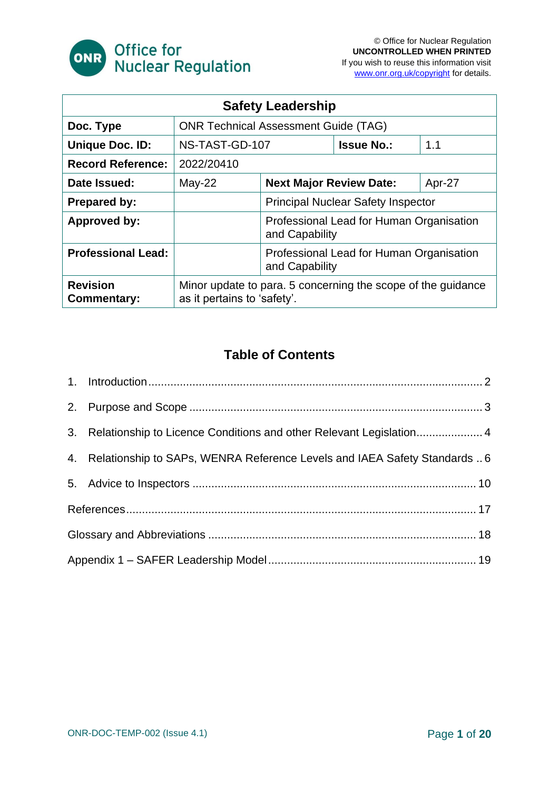

| <b>Safety Leadership</b>              |                                                                                             |                                                            |                   |        |  |
|---------------------------------------|---------------------------------------------------------------------------------------------|------------------------------------------------------------|-------------------|--------|--|
| Doc. Type                             | <b>ONR Technical Assessment Guide (TAG)</b>                                                 |                                                            |                   |        |  |
| <b>Unique Doc. ID:</b>                | NS-TAST-GD-107                                                                              |                                                            | <b>Issue No.:</b> | 1.1    |  |
| <b>Record Reference:</b>              | 2022/20410                                                                                  |                                                            |                   |        |  |
| Date Issued:                          | May-22                                                                                      | <b>Next Major Review Date:</b>                             |                   | Apr-27 |  |
| <b>Prepared by:</b>                   |                                                                                             | <b>Principal Nuclear Safety Inspector</b>                  |                   |        |  |
| <b>Approved by:</b>                   |                                                                                             | Professional Lead for Human Organisation<br>and Capability |                   |        |  |
| <b>Professional Lead:</b>             |                                                                                             | Professional Lead for Human Organisation<br>and Capability |                   |        |  |
| <b>Revision</b><br><b>Commentary:</b> | Minor update to para. 5 concerning the scope of the quidance<br>as it pertains to 'safety'. |                                                            |                   |        |  |

#### **Table of Contents**

| 3. Relationship to Licence Conditions and other Relevant Legislation 4       |  |  |
|------------------------------------------------------------------------------|--|--|
| 4. Relationship to SAPs, WENRA Reference Levels and IAEA Safety Standards  6 |  |  |
|                                                                              |  |  |
|                                                                              |  |  |
|                                                                              |  |  |
|                                                                              |  |  |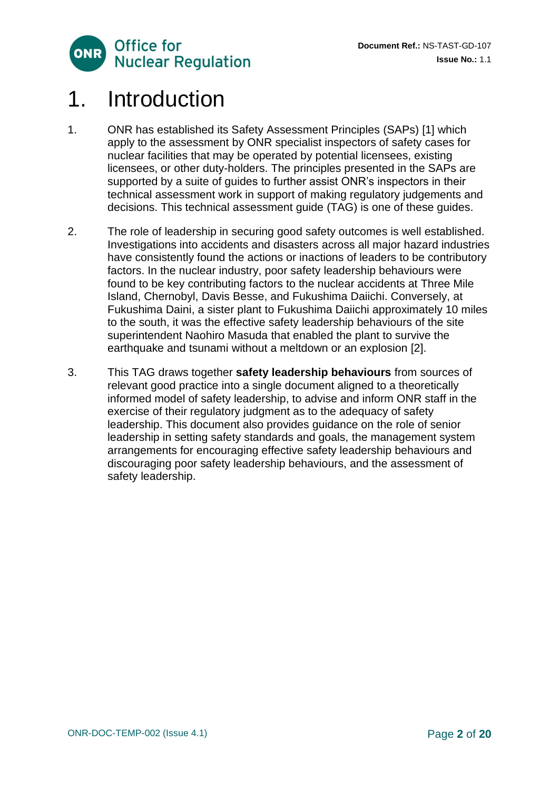

### <span id="page-1-0"></span>1. Introduction

- 1. ONR has established its Safety Assessment Principles (SAPs) [1] which apply to the assessment by ONR specialist inspectors of safety cases for nuclear facilities that may be operated by potential licensees, existing licensees, or other duty-holders. The principles presented in the SAPs are supported by a suite of guides to further assist ONR's inspectors in their technical assessment work in support of making regulatory judgements and decisions. This technical assessment guide (TAG) is one of these guides.
- 2. The role of leadership in securing good safety outcomes is well established. Investigations into accidents and disasters across all major hazard industries have consistently found the actions or inactions of leaders to be contributory factors. In the nuclear industry, poor safety leadership behaviours were found to be key contributing factors to the nuclear accidents at Three Mile Island, Chernobyl, Davis Besse, and Fukushima Daiichi. Conversely, at Fukushima Daini, a sister plant to Fukushima Daiichi approximately 10 miles to the south, it was the effective safety leadership behaviours of the site superintendent Naohiro Masuda that enabled the plant to survive the earthquake and tsunami without a meltdown or an explosion [2].
- <span id="page-1-1"></span>3. This TAG draws together **safety leadership behaviours** from sources of relevant good practice into a single document aligned to a theoretically informed model of safety leadership, to advise and inform ONR staff in the exercise of their regulatory judgment as to the adequacy of safety leadership. This document also provides guidance on the role of senior leadership in setting safety standards and goals, the management system arrangements for encouraging effective safety leadership behaviours and discouraging poor safety leadership behaviours, and the assessment of safety leadership.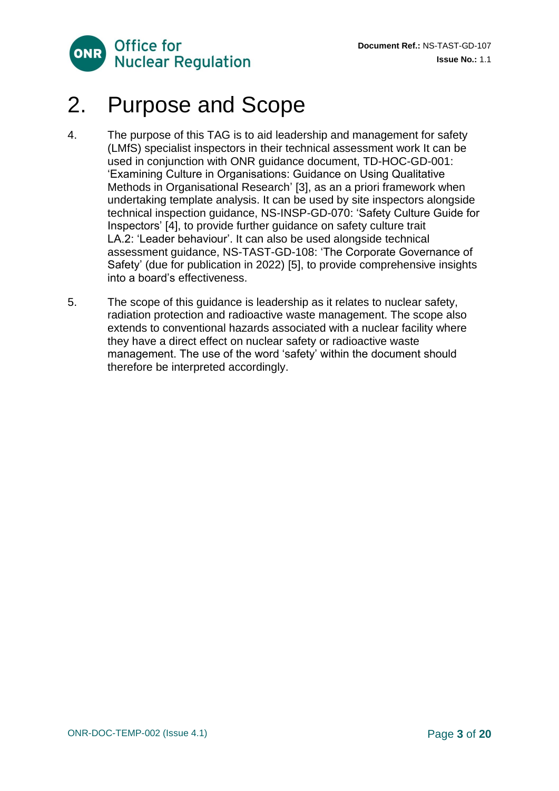

# 2. Purpose and Scope

- 4. The purpose of this TAG is to aid leadership and management for safety (LMfS) specialist inspectors in their technical assessment work It can be used in conjunction with ONR guidance document, TD-HOC-GD-001: 'Examining Culture in Organisations: Guidance on Using Qualitative Methods in Organisational Research' [3], as an a priori framework when undertaking template analysis. It can be used by site inspectors alongside technical inspection guidance, NS-INSP-GD-070: 'Safety Culture Guide for Inspectors' [4], to provide further guidance on safety culture trait LA.2: 'Leader behaviour'. It can also be used alongside technical assessment guidance, NS-TAST-GD-108: 'The Corporate Governance of Safety' (due for publication in 2022) [5], to provide comprehensive insights into a board's effectiveness.
- 5. The scope of this guidance is leadership as it relates to nuclear safety, radiation protection and radioactive waste management. The scope also extends to conventional hazards associated with a nuclear facility where they have a direct effect on nuclear safety or radioactive waste management. The use of the word 'safety' within the document should therefore be interpreted accordingly.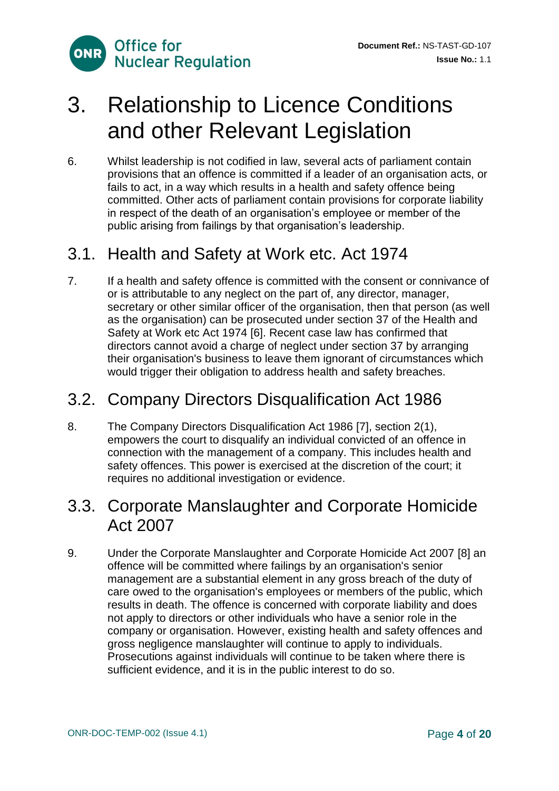

# <span id="page-3-0"></span>3. Relationship to Licence Conditions and other Relevant Legislation

6. Whilst leadership is not codified in law, several acts of parliament contain provisions that an offence is committed if a leader of an organisation acts, or fails to act, in a way which results in a health and safety offence being committed. Other acts of parliament contain provisions for corporate liability in respect of the death of an organisation's employee or member of the public arising from failings by that organisation's leadership.

### 3.1. Health and Safety at Work etc. Act 1974

7. If a health and safety offence is committed with the consent or connivance of or is attributable to any neglect on the part of, any director, manager, secretary or other similar officer of the organisation, then that person (as well as the organisation) can be prosecuted under section 37 of the Health and Safety at Work etc Act 1974 [6]. Recent case law has confirmed that directors cannot avoid a charge of neglect under section 37 by arranging their organisation's business to leave them ignorant of circumstances which would trigger their obligation to address health and safety breaches.

#### 3.2. Company Directors Disqualification Act 1986

8. The Company Directors Disqualification Act 1986 [7], section 2(1), empowers the court to disqualify an individual convicted of an offence in connection with the management of a company. This includes health and safety offences. This power is exercised at the discretion of the court; it requires no additional investigation or evidence.

#### 3.3. [Corporate Manslaughter and Corporate Homicide](https://www.hse.gov.uk/corpmanslaughter/index.htm)  [Act 2007](https://www.hse.gov.uk/corpmanslaughter/index.htm)

9. Under the [Corporate Manslaughter and Corporate Homicide Act 2007](https://www.hse.gov.uk/corpmanslaughter/index.htm) [8] an offence will be committed where failings by an organisation's senior management are a substantial element in any gross breach of the duty of care owed to the organisation's employees or members of the public, which results in death. The offence is concerned with corporate liability and does not apply to directors or other individuals who have a senior role in the company or organisation. However, existing health and safety offences and gross negligence manslaughter will continue to apply to individuals. Prosecutions against individuals will continue to be taken where there is sufficient evidence, and it is in the public interest to do so.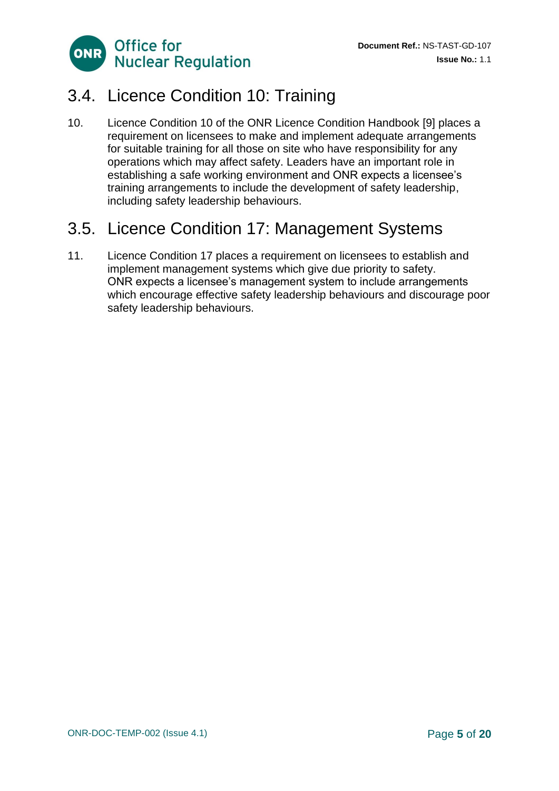

#### 3.4. Licence Condition 10: Training

10. Licence Condition 10 of the ONR Licence Condition Handbook [9] places a requirement on licensees to make and implement adequate arrangements for suitable training for all those on site who have responsibility for any operations which may affect safety. Leaders have an important role in establishing a safe working environment and ONR expects a licensee's training arrangements to include the development of safety leadership, including safety leadership behaviours.

#### 3.5. Licence Condition 17: Management Systems

<span id="page-4-0"></span>11. Licence Condition 17 places a requirement on licensees to establish and implement management systems which give due priority to safety. ONR expects a licensee's management system to include arrangements which encourage effective safety leadership behaviours and discourage poor safety leadership behaviours.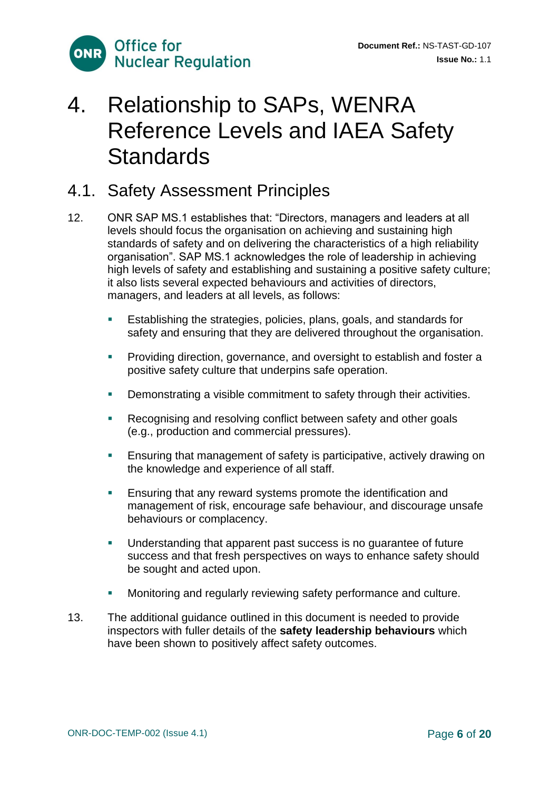

## 4. Relationship to SAPs, WENRA Reference Levels and IAEA Safety **Standards**

#### 4.1. Safety Assessment Principles

- 12. ONR SAP MS.1 establishes that: "Directors, managers and leaders at all levels should focus the organisation on achieving and sustaining high standards of safety and on delivering the characteristics of a high reliability organisation". SAP MS.1 acknowledges the role of leadership in achieving high levels of safety and establishing and sustaining a positive safety culture; it also lists several expected behaviours and activities of directors, managers, and leaders at all levels, as follows:
	- Establishing the strategies, policies, plans, goals, and standards for safety and ensuring that they are delivered throughout the organisation.
	- **•** Providing direction, governance, and oversight to establish and foster a positive safety culture that underpins safe operation.
	- **•** Demonstrating a visible commitment to safety through their activities.
	- Recognising and resolving conflict between safety and other goals (e.g., production and commercial pressures).
	- **E** Ensuring that management of safety is participative, actively drawing on the knowledge and experience of all staff.
	- **Ensuring that any reward systems promote the identification and** management of risk, encourage safe behaviour, and discourage unsafe behaviours or complacency.
	- Understanding that apparent past success is no guarantee of future success and that fresh perspectives on ways to enhance safety should be sought and acted upon.
	- Monitoring and regularly reviewing safety performance and culture.
- 13. The additional guidance outlined in this document is needed to provide inspectors with fuller details of the **safety leadership behaviours** which have been shown to positively affect safety outcomes.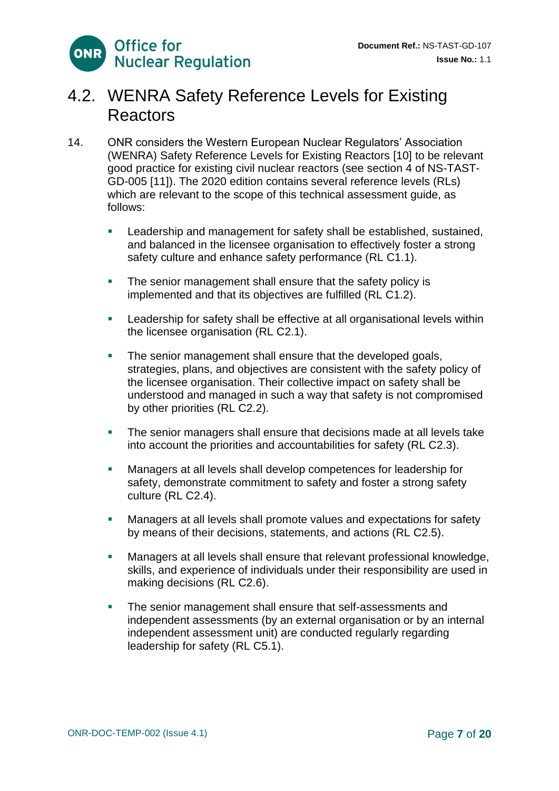#### 4.2. WENRA Safety Reference Levels for Existing **Reactors**

- 14. ONR considers the Western European Nuclear Regulators' Association (WENRA) Safety Reference Levels for Existing Reactors [10] to be relevant good practice for existing civil nuclear reactors (see section 4 of NS-TAST-GD-005 [11]). The 2020 edition contains several reference levels (RLs) which are relevant to the scope of this technical assessment guide, as follows:
	- Leadership and management for safety shall be established, sustained, and balanced in the licensee organisation to effectively foster a strong safety culture and enhance safety performance (RL C1.1).
	- The senior management shall ensure that the safety policy is implemented and that its objectives are fulfilled (RL C1.2).
	- **EXECTE Leadership for safety shall be effective at all organisational levels within** the licensee organisation (RL C2.1).
	- **EXECT** The senior management shall ensure that the developed goals, strategies, plans, and objectives are consistent with the safety policy of the licensee organisation. Their collective impact on safety shall be understood and managed in such a way that safety is not compromised by other priorities (RL C2.2).
	- **The senior managers shall ensure that decisions made at all levels take** into account the priorities and accountabilities for safety (RL C2.3).
	- Managers at all levels shall develop competences for leadership for safety, demonstrate commitment to safety and foster a strong safety culture (RL C2.4).
	- Managers at all levels shall promote values and expectations for safety by means of their decisions, statements, and actions (RL C2.5).
	- Managers at all levels shall ensure that relevant professional knowledge, skills, and experience of individuals under their responsibility are used in making decisions (RL C2.6).
	- **The senior management shall ensure that self-assessments and** independent assessments (by an external organisation or by an internal independent assessment unit) are conducted regularly regarding leadership for safety (RL C5.1).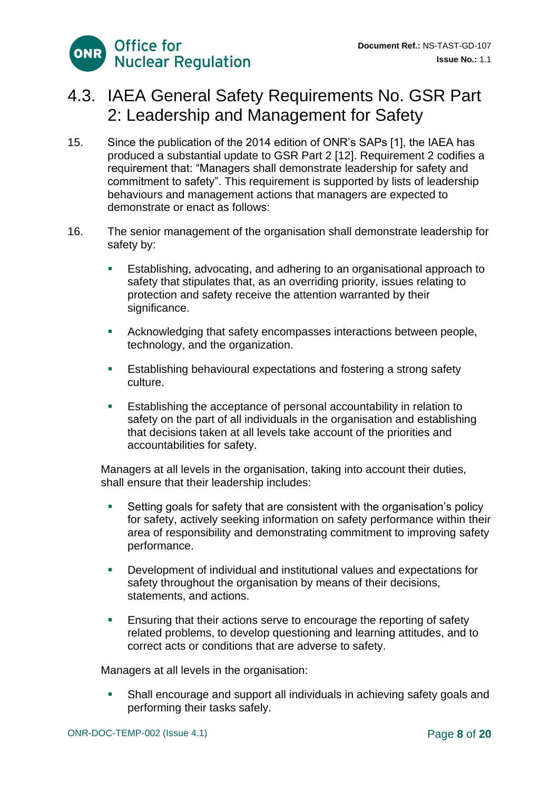

#### 4.3. IAEA General Safety Requirements No. GSR Part 2: Leadership and Management for Safety

- 15. Since the publication of the 2014 edition of ONR's SAPs [1], the IAEA has produced a substantial update to GSR Part 2 [12]. Requirement 2 codifies a requirement that: "Managers shall demonstrate leadership for safety and commitment to safety". This requirement is supported by lists of leadership behaviours and management actions that managers are expected to demonstrate or enact as follows:
- 16. The senior management of the organisation shall demonstrate leadership for safety by:
	- Establishing, advocating, and adhering to an organisational approach to safety that stipulates that, as an overriding priority, issues relating to protection and safety receive the attention warranted by their significance.
	- Acknowledging that safety encompasses interactions between people, technology, and the organization.
	- **E** Establishing behavioural expectations and fostering a strong safety culture.
	- Establishing the acceptance of personal accountability in relation to safety on the part of all individuals in the organisation and establishing that decisions taken at all levels take account of the priorities and accountabilities for safety.

Managers at all levels in the organisation, taking into account their duties, shall ensure that their leadership includes:

- Setting goals for safety that are consistent with the organisation's policy for safety, actively seeking information on safety performance within their area of responsibility and demonstrating commitment to improving safety performance.
- Development of individual and institutional values and expectations for safety throughout the organisation by means of their decisions, statements, and actions.
- **Ensuring that their actions serve to encourage the reporting of safety** related problems, to develop questioning and learning attitudes, and to correct acts or conditions that are adverse to safety.

Managers at all levels in the organisation:

**• Shall encourage and support all individuals in achieving safety goals and** performing their tasks safely.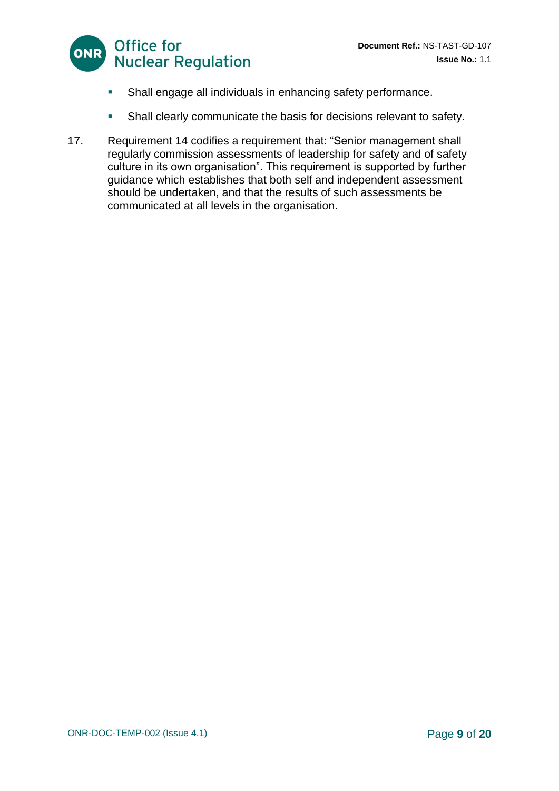

- **EXECT** Shall engage all individuals in enhancing safety performance.
- <span id="page-8-0"></span>Shall clearly communicate the basis for decisions relevant to safety.
- 17. Requirement 14 codifies a requirement that: "Senior management shall regularly commission assessments of leadership for safety and of safety culture in its own organisation". This requirement is supported by further guidance which establishes that both self and independent assessment should be undertaken, and that the results of such assessments be communicated at all levels in the organisation.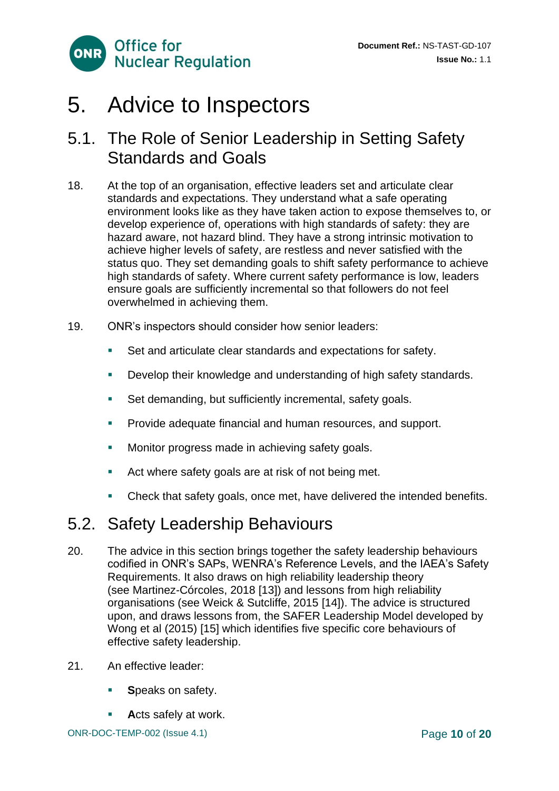

### 5. Advice to Inspectors

#### 5.1. The Role of Senior Leadership in Setting Safety Standards and Goals

- 18. At the top of an organisation, effective leaders set and articulate clear standards and expectations. They understand what a safe operating environment looks like as they have taken action to expose themselves to, or develop experience of, operations with high standards of safety: they are hazard aware, not hazard blind. They have a strong intrinsic motivation to achieve higher levels of safety, are restless and never satisfied with the status quo. They set demanding goals to shift safety performance to achieve high standards of safety. Where current safety performance is low, leaders ensure goals are sufficiently incremental so that followers do not feel overwhelmed in achieving them.
- 19. ONR's inspectors should consider how senior leaders:
	- Set and articulate clear standards and expectations for safety.
	- Develop their knowledge and understanding of high safety standards.
	- Set demanding, but sufficiently incremental, safety goals.
	- **Provide adequate financial and human resources, and support.**
	- **■** Monitor progress made in achieving safety goals.
	- Act where safety goals are at risk of not being met.
	- Check that safety goals, once met, have delivered the intended benefits.

#### 5.2. Safety Leadership Behaviours

- 20. The advice in this section brings together the safety leadership behaviours codified in ONR's SAPs, WENRA's Reference Levels, and the IAEA's Safety Requirements. It also draws on high reliability leadership theory (see Martinez-Córcoles, 2018 [13]) and lessons from high reliability organisations (see Weick & Sutcliffe, 2015 [14]). The advice is structured upon, and draws lessons from, the SAFER Leadership Model developed by Wong et al (2015) [15] which identifies five specific core behaviours of effective safety leadership.
- 21. An effective leader:
	- **Speaks on safety.**
	- Acts safely at work.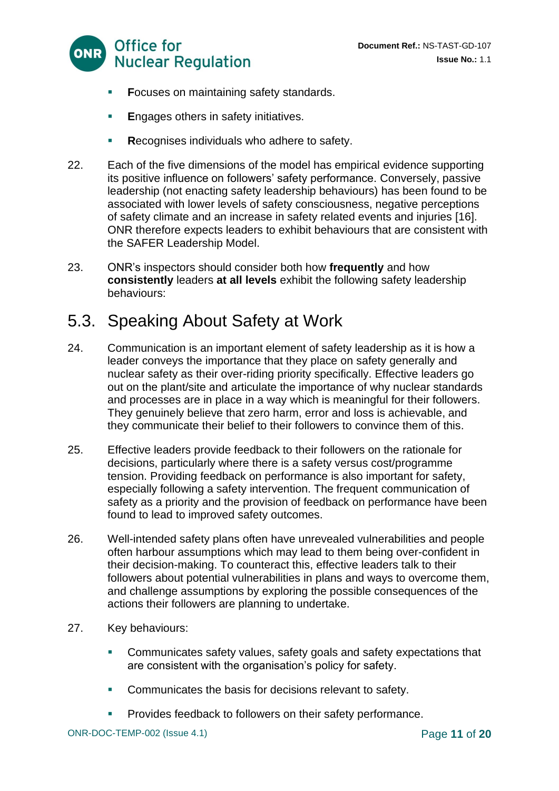

- **Focuses on maintaining safety standards.**
- **E**ngages others in safety initiatives.
- **Recognises individuals who adhere to safety.**
- 22. Each of the five dimensions of the model has empirical evidence supporting its positive influence on followers' safety performance. Conversely, passive leadership (not enacting safety leadership behaviours) has been found to be associated with lower levels of safety consciousness, negative perceptions of safety climate and an increase in safety related events and injuries [16]. ONR therefore expects leaders to exhibit behaviours that are consistent with the SAFER Leadership Model.
- 23. ONR's inspectors should consider both how **frequently** and how **consistently** leaders **at all levels** exhibit the following safety leadership behaviours:

#### 5.3. Speaking About Safety at Work

- 24. Communication is an important element of safety leadership as it is how a leader conveys the importance that they place on safety generally and nuclear safety as their over-riding priority specifically. Effective leaders go out on the plant/site and articulate the importance of why nuclear standards and processes are in place in a way which is meaningful for their followers. They genuinely believe that zero harm, error and loss is achievable, and they communicate their belief to their followers to convince them of this.
- 25. Effective leaders provide feedback to their followers on the rationale for decisions, particularly where there is a safety versus cost/programme tension. Providing feedback on performance is also important for safety, especially following a safety intervention. The frequent communication of safety as a priority and the provision of feedback on performance have been found to lead to improved safety outcomes.
- 26. Well-intended safety plans often have unrevealed vulnerabilities and people often harbour assumptions which may lead to them being over-confident in their decision-making. To counteract this, effective leaders talk to their followers about potential vulnerabilities in plans and ways to overcome them, and challenge assumptions by exploring the possible consequences of the actions their followers are planning to undertake.
- 27. Key behaviours:
	- Communicates safety values, safety goals and safety expectations that are consistent with the organisation's policy for safety.
	- **Communicates the basis for decisions relevant to safety.**
	- **Provides feedback to followers on their safety performance.**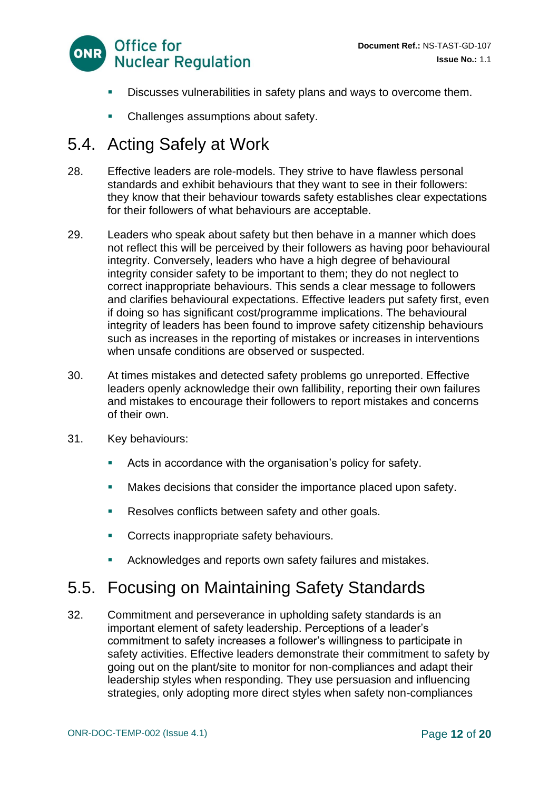

- Discusses vulnerabilities in safety plans and ways to overcome them.
- Challenges assumptions about safety.

#### 5.4. Acting Safely at Work

- 28. Effective leaders are role-models. They strive to have flawless personal standards and exhibit behaviours that they want to see in their followers: they know that their behaviour towards safety establishes clear expectations for their followers of what behaviours are acceptable.
- 29. Leaders who speak about safety but then behave in a manner which does not reflect this will be perceived by their followers as having poor behavioural integrity. Conversely, leaders who have a high degree of behavioural integrity consider safety to be important to them; they do not neglect to correct inappropriate behaviours. This sends a clear message to followers and clarifies behavioural expectations. Effective leaders put safety first, even if doing so has significant cost/programme implications. The behavioural integrity of leaders has been found to improve safety citizenship behaviours such as increases in the reporting of mistakes or increases in interventions when unsafe conditions are observed or suspected.
- 30. At times mistakes and detected safety problems go unreported. Effective leaders openly acknowledge their own fallibility, reporting their own failures and mistakes to encourage their followers to report mistakes and concerns of their own.
- 31. Key behaviours:
	- Acts in accordance with the organisation's policy for safety.
	- Makes decisions that consider the importance placed upon safety.
	- Resolves conflicts between safety and other goals.
	- **Corrects inappropriate safety behaviours.**
	- Acknowledges and reports own safety failures and mistakes.

#### 5.5. Focusing on Maintaining Safety Standards

32. Commitment and perseverance in upholding safety standards is an important element of safety leadership. Perceptions of a leader's commitment to safety increases a follower's willingness to participate in safety activities. Effective leaders demonstrate their commitment to safety by going out on the plant/site to monitor for non-compliances and adapt their leadership styles when responding. They use persuasion and influencing strategies, only adopting more direct styles when safety non-compliances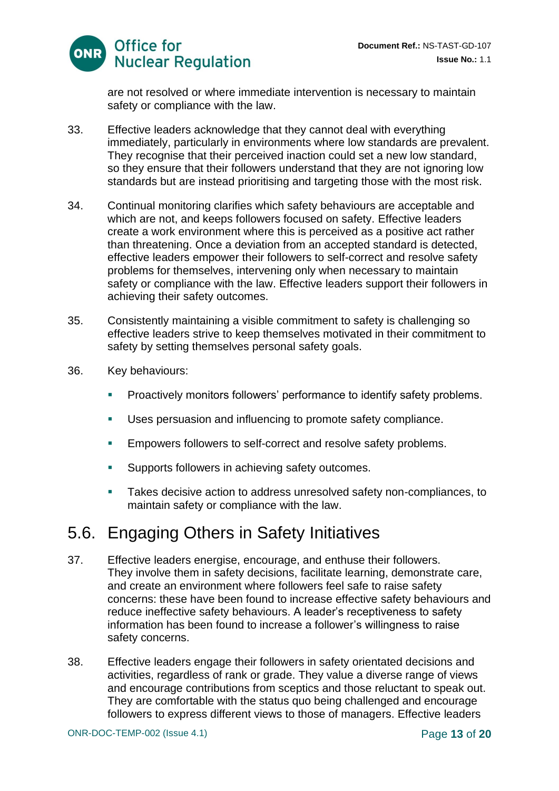

are not resolved or where immediate intervention is necessary to maintain safety or compliance with the law.

- 33. Effective leaders acknowledge that they cannot deal with everything immediately, particularly in environments where low standards are prevalent. They recognise that their perceived inaction could set a new low standard, so they ensure that their followers understand that they are not ignoring low standards but are instead prioritising and targeting those with the most risk.
- 34. Continual monitoring clarifies which safety behaviours are acceptable and which are not, and keeps followers focused on safety. Effective leaders create a work environment where this is perceived as a positive act rather than threatening. Once a deviation from an accepted standard is detected, effective leaders empower their followers to self-correct and resolve safety problems for themselves, intervening only when necessary to maintain safety or compliance with the law. Effective leaders support their followers in achieving their safety outcomes.
- 35. Consistently maintaining a visible commitment to safety is challenging so effective leaders strive to keep themselves motivated in their commitment to safety by setting themselves personal safety goals.
- 36. Key behaviours:
	- Proactively monitors followers' performance to identify safety problems.
	- Uses persuasion and influencing to promote safety compliance.
	- Empowers followers to self-correct and resolve safety problems.
	- **EXECUTE:** Supports followers in achieving safety outcomes.
	- Takes decisive action to address unresolved safety non-compliances, to maintain safety or compliance with the law.

#### 5.6. Engaging Others in Safety Initiatives

- 37. Effective leaders energise, encourage, and enthuse their followers. They involve them in safety decisions, facilitate learning, demonstrate care, and create an environment where followers feel safe to raise safety concerns: these have been found to increase effective safety behaviours and reduce ineffective safety behaviours. A leader's receptiveness to safety information has been found to increase a follower's willingness to raise safety concerns.
- 38. Effective leaders engage their followers in safety orientated decisions and activities, regardless of rank or grade. They value a diverse range of views and encourage contributions from sceptics and those reluctant to speak out. They are comfortable with the status quo being challenged and encourage followers to express different views to those of managers. Effective leaders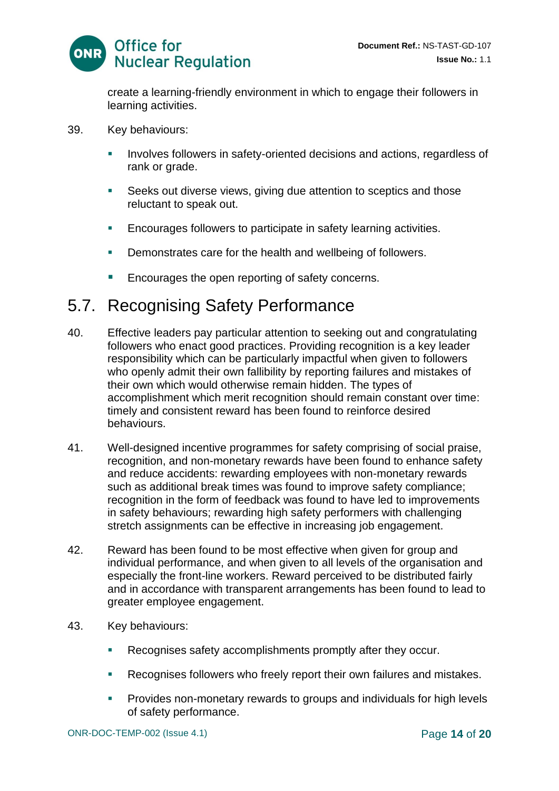

create a learning-friendly environment in which to engage their followers in learning activities.

- 39. Key behaviours:
	- **EXEDENT Involves followers in safety-oriented decisions and actions, regardless of** rank or grade.
	- Seeks out diverse views, giving due attention to sceptics and those reluctant to speak out.
	- **Encourages followers to participate in safety learning activities.**
	- Demonstrates care for the health and wellbeing of followers.
	- Encourages the open reporting of safety concerns.

#### 5.7. Recognising Safety Performance

- 40. Effective leaders pay particular attention to seeking out and congratulating followers who enact good practices. Providing recognition is a key leader responsibility which can be particularly impactful when given to followers who openly admit their own fallibility by reporting failures and mistakes of their own which would otherwise remain hidden. The types of accomplishment which merit recognition should remain constant over time: timely and consistent reward has been found to reinforce desired behaviours.
- 41. Well-designed incentive programmes for safety comprising of social praise, recognition, and non-monetary rewards have been found to enhance safety and reduce accidents: rewarding employees with non-monetary rewards such as additional break times was found to improve safety compliance; recognition in the form of feedback was found to have led to improvements in safety behaviours; rewarding high safety performers with challenging stretch assignments can be effective in increasing job engagement.
- 42. Reward has been found to be most effective when given for group and individual performance, and when given to all levels of the organisation and especially the front-line workers. Reward perceived to be distributed fairly and in accordance with transparent arrangements has been found to lead to greater employee engagement.
- 43. Key behaviours:
	- Recognises safety accomplishments promptly after they occur.
	- Recognises followers who freely report their own failures and mistakes.
	- Provides non-monetary rewards to groups and individuals for high levels of safety performance.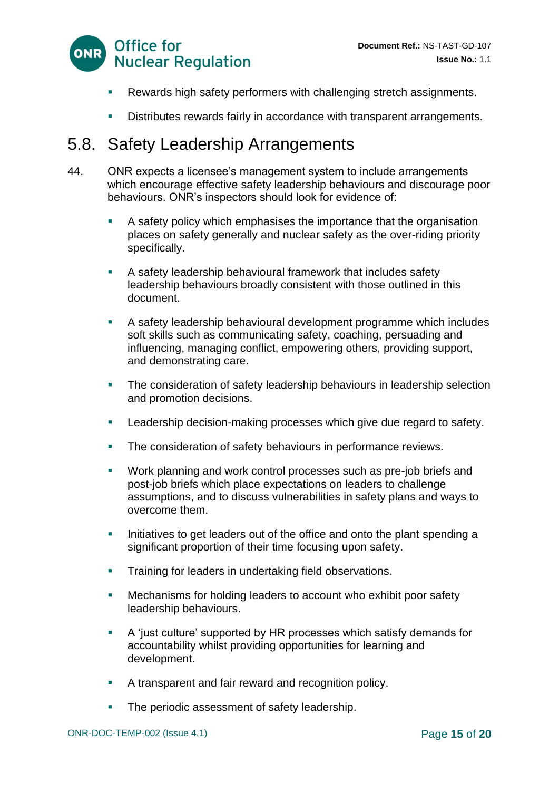

- Rewards high safety performers with challenging stretch assignments.
- Distributes rewards fairly in accordance with transparent arrangements.

#### 5.8. Safety Leadership Arrangements

- 44. ONR expects a licensee's management system to include arrangements which encourage effective safety leadership behaviours and discourage poor behaviours. ONR's inspectors should look for evidence of:
	- A safety policy which emphasises the importance that the organisation places on safety generally and nuclear safety as the over-riding priority specifically.
	- A safety leadership behavioural framework that includes safety leadership behaviours broadly consistent with those outlined in this document.
	- A safety leadership behavioural development programme which includes soft skills such as communicating safety, coaching, persuading and influencing, managing conflict, empowering others, providing support, and demonstrating care.
	- **The consideration of safety leadership behaviours in leadership selection** and promotion decisions.
	- **EXECTE Leadership decision-making processes which give due regard to safety.**
	- **The consideration of safety behaviours in performance reviews.**
	- Work planning and work control processes such as pre-job briefs and post-job briefs which place expectations on leaders to challenge assumptions, and to discuss vulnerabilities in safety plans and ways to overcome them.
	- **EXEDER** Initiatives to get leaders out of the office and onto the plant spending a significant proportion of their time focusing upon safety.
	- **•** Training for leaders in undertaking field observations.
	- Mechanisms for holding leaders to account who exhibit poor safety leadership behaviours.
	- A 'just culture' supported by HR processes which satisfy demands for accountability whilst providing opportunities for learning and development.
	- A transparent and fair reward and recognition policy.
	- **The periodic assessment of safety leadership.**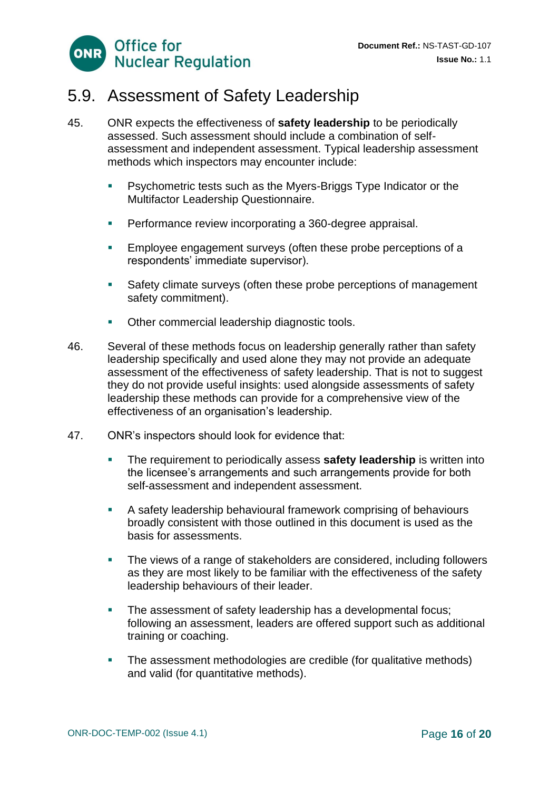

#### 5.9. Assessment of Safety Leadership

- 45. ONR expects the effectiveness of **safety leadership** to be periodically assessed. Such assessment should include a combination of selfassessment and independent assessment. Typical leadership assessment methods which inspectors may encounter include:
	- **Psychometric tests such as the Myers-Briggs Type Indicator or the** Multifactor Leadership Questionnaire.
	- Performance review incorporating a 360-degree appraisal.
	- **Employee engagement surveys (often these probe perceptions of a** respondents' immediate supervisor).
	- Safety climate surveys (often these probe perceptions of management safety commitment).
	- **Other commercial leadership diagnostic tools.**
- 46. Several of these methods focus on leadership generally rather than safety leadership specifically and used alone they may not provide an adequate assessment of the effectiveness of safety leadership. That is not to suggest they do not provide useful insights: used alongside assessments of safety leadership these methods can provide for a comprehensive view of the effectiveness of an organisation's leadership.
- 47. ONR's inspectors should look for evidence that:
	- **EXECT** The requirement to periodically assess **safety leadership** is written into the licensee's arrangements and such arrangements provide for both self-assessment and independent assessment.
	- A safety leadership behavioural framework comprising of behaviours broadly consistent with those outlined in this document is used as the basis for assessments.
	- The views of a range of stakeholders are considered, including followers as they are most likely to be familiar with the effectiveness of the safety leadership behaviours of their leader.
	- **The assessment of safety leadership has a developmental focus;** following an assessment, leaders are offered support such as additional training or coaching.
	- The assessment methodologies are credible (for qualitative methods) and valid (for quantitative methods).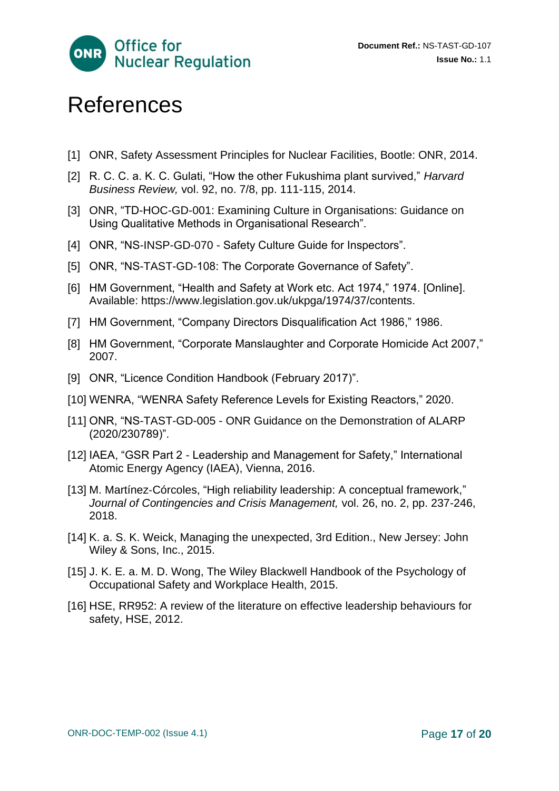

## <span id="page-16-0"></span>References

- [1] ONR, Safety Assessment Principles for Nuclear Facilities, Bootle: ONR, 2014.
- [2] R. C. C. a. K. C. Gulati, "How the other Fukushima plant survived," *Harvard Business Review,* vol. 92, no. 7/8, pp. 111-115, 2014.
- [3] ONR, "TD-HOC-GD-001: Examining Culture in Organisations: Guidance on Using Qualitative Methods in Organisational Research".
- [4] ONR, "NS-INSP-GD-070 Safety Culture Guide for Inspectors".
- [5] ONR, "NS-TAST-GD-108: The Corporate Governance of Safety".
- [6] HM Government, "Health and Safety at Work etc. Act 1974," 1974. [Online]. Available: https://www.legislation.gov.uk/ukpga/1974/37/contents.
- [7] HM Government, "Company Directors Disqualification Act 1986," 1986.
- [8] HM Government, "Corporate Manslaughter and Corporate Homicide Act 2007," 2007.
- [9] ONR, "Licence Condition Handbook (February 2017)".
- [10] WENRA, "WENRA Safety Reference Levels for Existing Reactors," 2020.
- [11] ONR, "NS-TAST-GD-005 ONR Guidance on the Demonstration of ALARP (2020/230789)".
- [12] IAEA, "GSR Part 2 Leadership and Management for Safety," International Atomic Energy Agency (IAEA), Vienna, 2016.
- [13] M. Martínez-Córcoles, "High reliability leadership: A conceptual framework," *Journal of Contingencies and Crisis Management,* vol. 26, no. 2, pp. 237-246, 2018.
- [14] K. a. S. K. Weick, Managing the unexpected, 3rd Edition., New Jersey: John Wiley & Sons, Inc., 2015.
- [15] J. K. E. a. M. D. Wong, The Wiley Blackwell Handbook of the Psychology of Occupational Safety and Workplace Health, 2015.
- [16] HSE, RR952: A review of the literature on effective leadership behaviours for safety, HSE, 2012.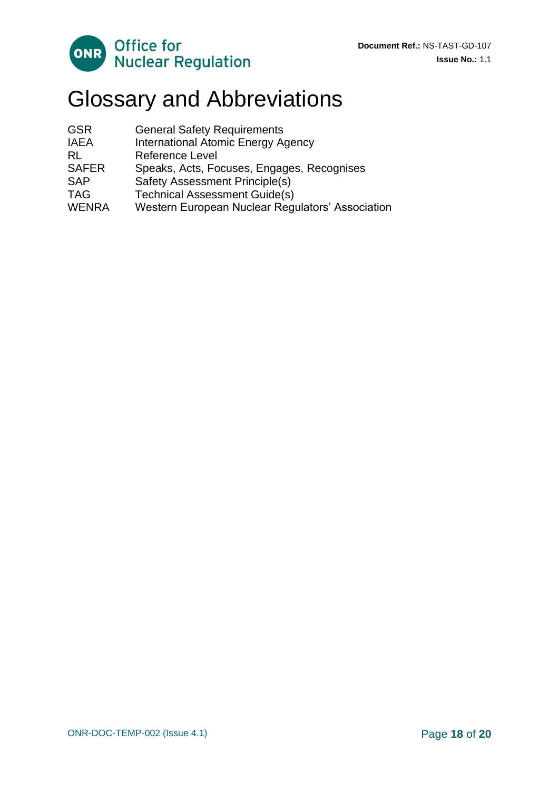

# <span id="page-17-0"></span>Glossary and Abbreviations

| <b>GSR</b>   | <b>General Safety Requirements</b>               |
|--------------|--------------------------------------------------|
| <b>IAEA</b>  | <b>International Atomic Energy Agency</b>        |
| RL           | <b>Reference Level</b>                           |
| <b>SAFER</b> | Speaks, Acts, Focuses, Engages, Recognises       |
| <b>SAP</b>   | Safety Assessment Principle(s)                   |
| <b>TAG</b>   | <b>Technical Assessment Guide(s)</b>             |
| <b>WENRA</b> | Western European Nuclear Regulators' Association |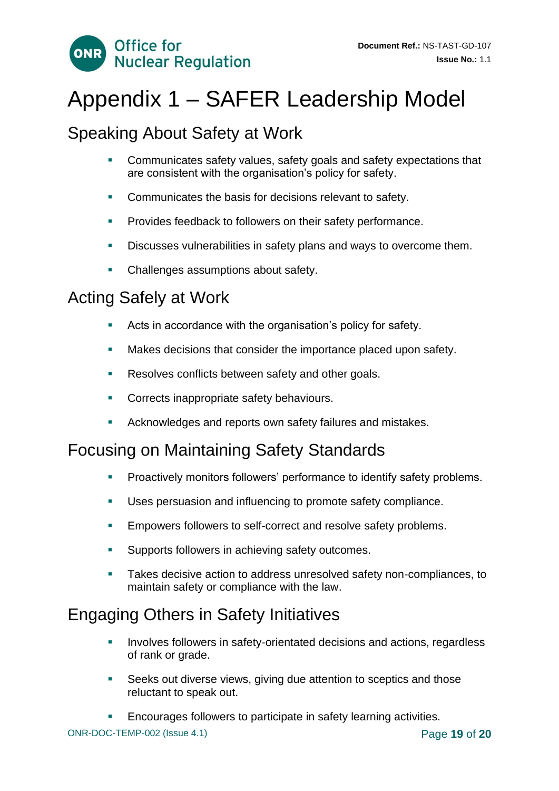

# <span id="page-18-0"></span>Appendix 1 – SAFER Leadership Model

### Speaking About Safety at Work

- Communicates safety values, safety goals and safety expectations that are consistent with the organisation's policy for safety.
- Communicates the basis for decisions relevant to safety.
- Provides feedback to followers on their safety performance.
- **EXEDENCISE** Discusses vulnerabilities in safety plans and ways to overcome them.
- **Challenges assumptions about safety.**

#### Acting Safely at Work

- Acts in accordance with the organisation's policy for safety.
- Makes decisions that consider the importance placed upon safety.
- **EXECTE:** Resolves conflicts between safety and other goals.
- Corrects inappropriate safety behaviours.
- Acknowledges and reports own safety failures and mistakes.

### Focusing on Maintaining Safety Standards

- Proactively monitors followers' performance to identify safety problems.
- Uses persuasion and influencing to promote safety compliance.
- **Empowers followers to self-correct and resolve safety problems.**
- Supports followers in achieving safety outcomes.
- Takes decisive action to address unresolved safety non-compliances, to maintain safety or compliance with the law.

### Engaging Others in Safety Initiatives

- Involves followers in safety-orientated decisions and actions, regardless of rank or grade.
- Seeks out diverse views, giving due attention to sceptics and those reluctant to speak out.
- Encourages followers to participate in safety learning activities.